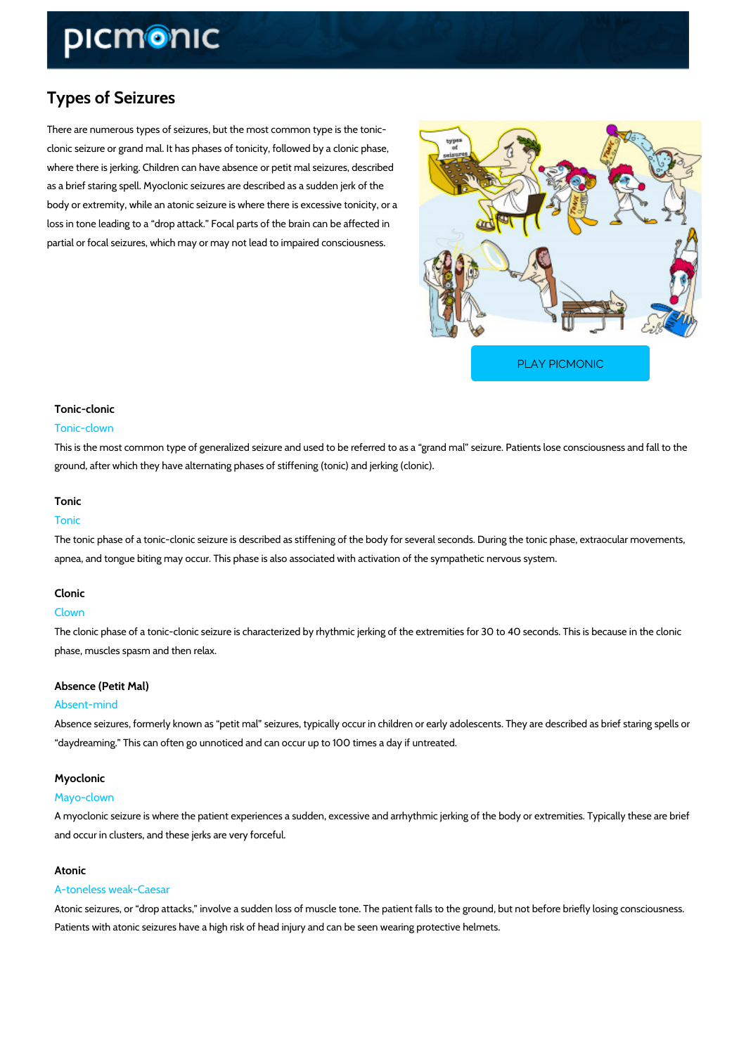# Types of Seizures

There are numerous types of seizures, but the most common type is the tonic clonic seizure or grand mal. It has phases of tonicity, followed by a clonic phase, where there is jerking. Children can have absence or petit mal seizures, described as a brief staring spell. Myoclonic seizures are described as a sudden jerk of the body or extremity, while an atonic seizure is where there is excessive tonicity, or a loss in tone leading to a drop attack. Focal parts of the brain can be affected in partial or focal seizures, which may or may not lead to impaired consciousness.

[PLAY PICMONIC](https://www.picmonic.com/learn/types-of-seizures_2034?utm_source=downloadable_content&utm_medium=distributedcontent&utm_campaign=pathways_pdf&utm_content=Types of Seizures&utm_ad_group=leads&utm_market=all)

### Tonic-clonic

#### Tonic-clown

This is the most common type of generalized seizure and used to be referred to as a grand m ground, after which they have alternating phases of stiffening (tonic) and jerking (clonic).

#### Tonic

### Tonic

The tonic phase of a tonic-clonic seizure is described as stiffening of the body for several se apnea, and tongue biting may occur. This phase is also associated with activation of the symp

#### Clonic

#### Clown

The clonic phase of a tonic-clonic seizure is characterized by rhythmic jerking of the extremit phase, muscles spasm and then relax.

#### Absence (Petit Mal)

#### Absent-mind

Absence seizures, formerly known as petit mal seizures, typically occur in children or early daydreaming. This can often go unnoticed and can occur up to 100 times a day if untreated.

#### Myoclonic

#### Mayo-clown

A myoclonic seizure is where the patient experiences a sudden, excessive and arrhythmic jerk and occur in clusters, and these jerks are very forceful.

#### Atonic

#### A-toneless weak-Caesar

Atonic seizures, or drop attacks, involve a sudden loss of muscle tone. The patient falls to Patients with atonic seizures have a high risk of head injury and can be seen wearing protect